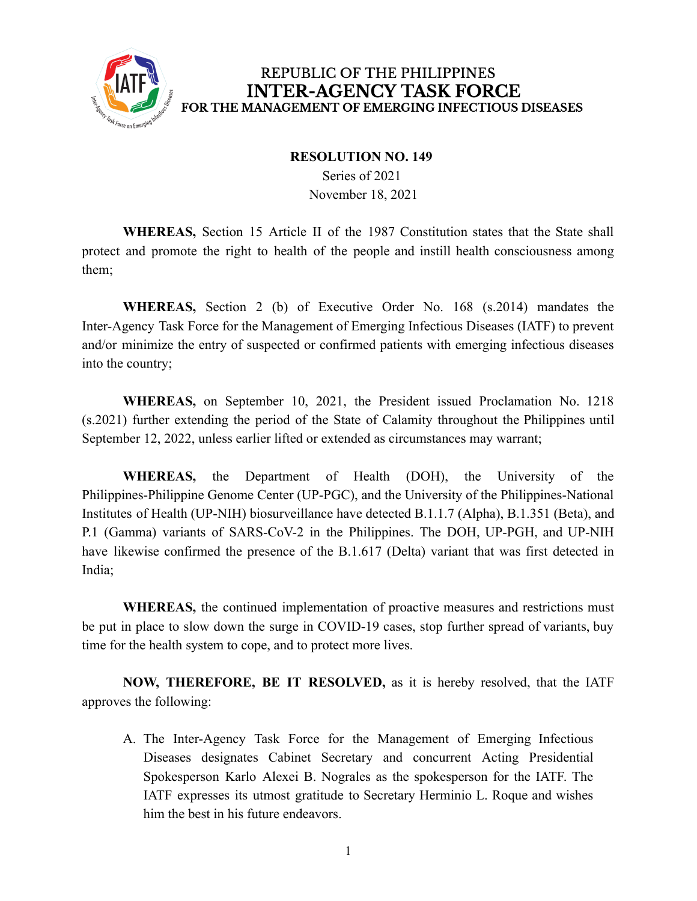

#### **RESOLUTION NO. 149**

Series of 2021 November 18, 2021

**WHEREAS,** Section 15 Article II of the 1987 Constitution states that the State shall protect and promote the right to health of the people and instill health consciousness among them;

**WHEREAS,** Section 2 (b) of Executive Order No. 168 (s.2014) mandates the Inter-Agency Task Force for the Management of Emerging Infectious Diseases (IATF) to prevent and/or minimize the entry of suspected or confirmed patients with emerging infectious diseases into the country;

**WHEREAS,** on September 10, 2021, the President issued Proclamation No. 1218 (s.2021) further extending the period of the State of Calamity throughout the Philippines until September 12, 2022, unless earlier lifted or extended as circumstances may warrant;

**WHEREAS,** the Department of Health (DOH), the University of the Philippines-Philippine Genome Center (UP-PGC), and the University of the Philippines-National Institutes of Health (UP-NIH) biosurveillance have detected B.1.1.7 (Alpha), B.1.351 (Beta), and P.1 (Gamma) variants of SARS-CoV-2 in the Philippines. The DOH, UP-PGH, and UP-NIH have likewise confirmed the presence of the B.1.617 (Delta) variant that was first detected in India;

**WHEREAS,** the continued implementation of proactive measures and restrictions must be put in place to slow down the surge in COVID-19 cases, stop further spread of variants, buy time for the health system to cope, and to protect more lives.

**NOW, THEREFORE, BE IT RESOLVED,** as it is hereby resolved, that the IATF approves the following:

A. The Inter-Agency Task Force for the Management of Emerging Infectious Diseases designates Cabinet Secretary and concurrent Acting Presidential Spokesperson Karlo Alexei B. Nograles as the spokesperson for the IATF. The IATF expresses its utmost gratitude to Secretary Herminio L. Roque and wishes him the best in his future endeavors.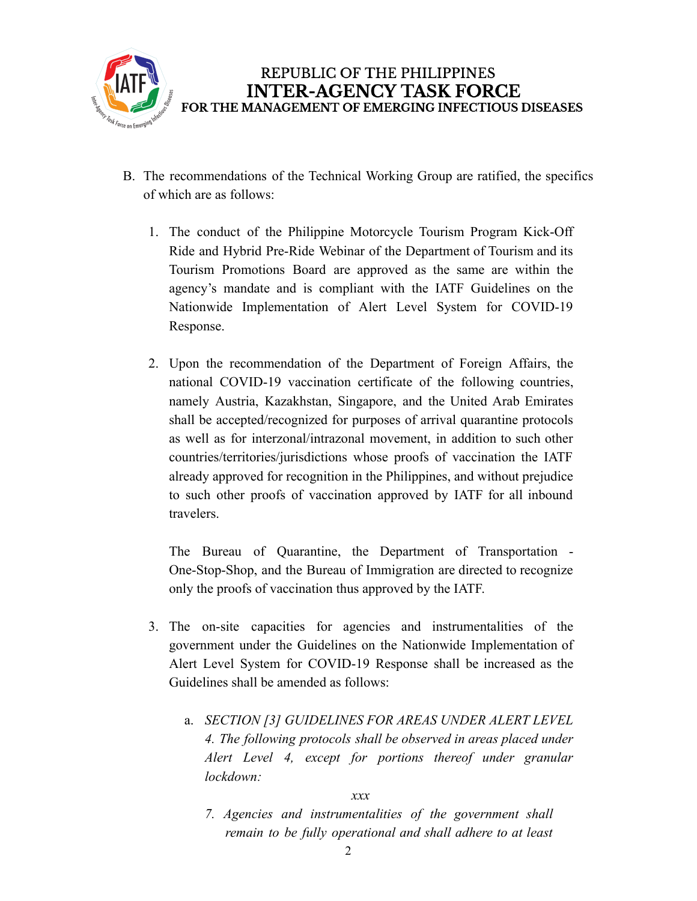

- B. The recommendations of the Technical Working Group are ratified, the specifics of which are as follows:
	- 1. The conduct of the Philippine Motorcycle Tourism Program Kick-Off Ride and Hybrid Pre-Ride Webinar of the Department of Tourism and its Tourism Promotions Board are approved as the same are within the agency's mandate and is compliant with the IATF Guidelines on the Nationwide Implementation of Alert Level System for COVID-19 Response.
	- 2. Upon the recommendation of the Department of Foreign Affairs, the national COVID-19 vaccination certificate of the following countries, namely Austria, Kazakhstan, Singapore, and the United Arab Emirates shall be accepted/recognized for purposes of arrival quarantine protocols as well as for interzonal/intrazonal movement, in addition to such other countries/territories/jurisdictions whose proofs of vaccination the IATF already approved for recognition in the Philippines, and without prejudice to such other proofs of vaccination approved by IATF for all inbound travelers.

The Bureau of Quarantine, the Department of Transportation - One-Stop-Shop, and the Bureau of Immigration are directed to recognize only the proofs of vaccination thus approved by the IATF.

- 3. The on-site capacities for agencies and instrumentalities of the government under the Guidelines on the Nationwide Implementation of Alert Level System for COVID-19 Response shall be increased as the Guidelines shall be amended as follows:
	- a. *SECTION [3] GUIDELINES FOR AREAS UNDER ALERT LEVEL 4. The following protocols shall be observed in areas placed under Alert Level 4, except for portions thereof under granular lockdown:*

*xxx*

*7. Agencies and instrumentalities of the government shall remain to be fully operational and shall adhere to at least*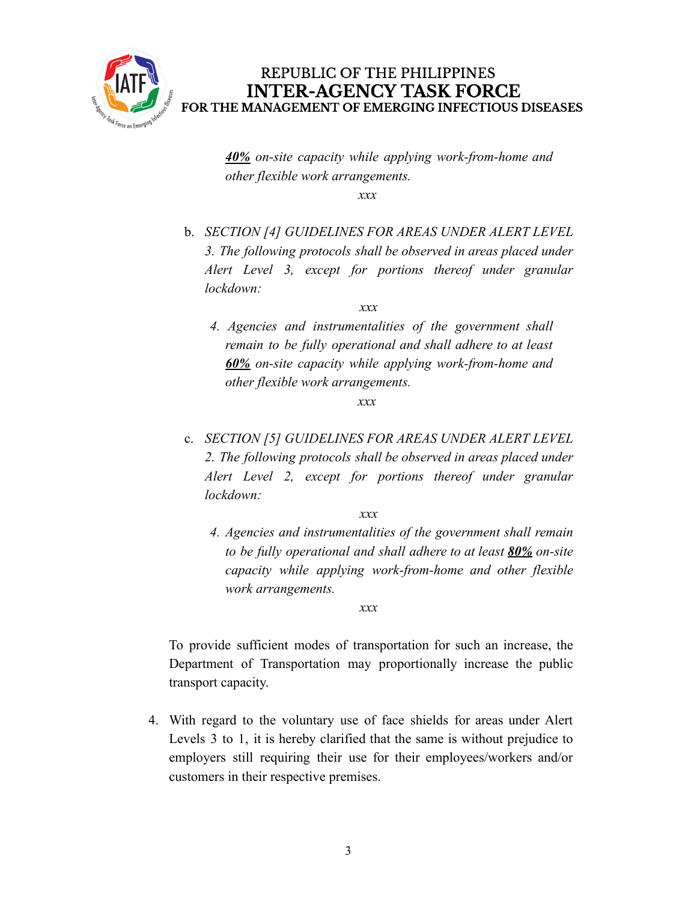

*40% on-site capacity while applying work-from-home and other flexible work arrangements.*

*xxx*

b. *SECTION [4] GUIDELINES FOR AREAS UNDER ALERT LEVEL 3. The following protocols shall be observed in areas placed under Alert Level 3, except for portions thereof under granular lockdown:*

*xxx*

*4. Agencies and instrumentalities of the government shall remain to be fully operational and shall adhere to at least 60% on-site capacity while applying work-from-home and other flexible work arrangements.*

*xxx*

c. *SECTION [5] GUIDELINES FOR AREAS UNDER ALERT LEVEL 2. The following protocols shall be observed in areas placed under Alert Level 2, except for portions thereof under granular lockdown:*

*xxx*

*4. Agencies and instrumentalities of the government shall remain to be fully operational and shall adhere to at least 80% on-site capacity while applying work-from-home and other flexible work arrangements.*

*xxx*

To provide sufficient modes of transportation for such an increase, the Department of Transportation may proportionally increase the public transport capacity.

4. With regard to the voluntary use of face shields for areas under Alert Levels 3 to 1, it is hereby clarified that the same is without prejudice to employers still requiring their use for their employees/workers and/or customers in their respective premises.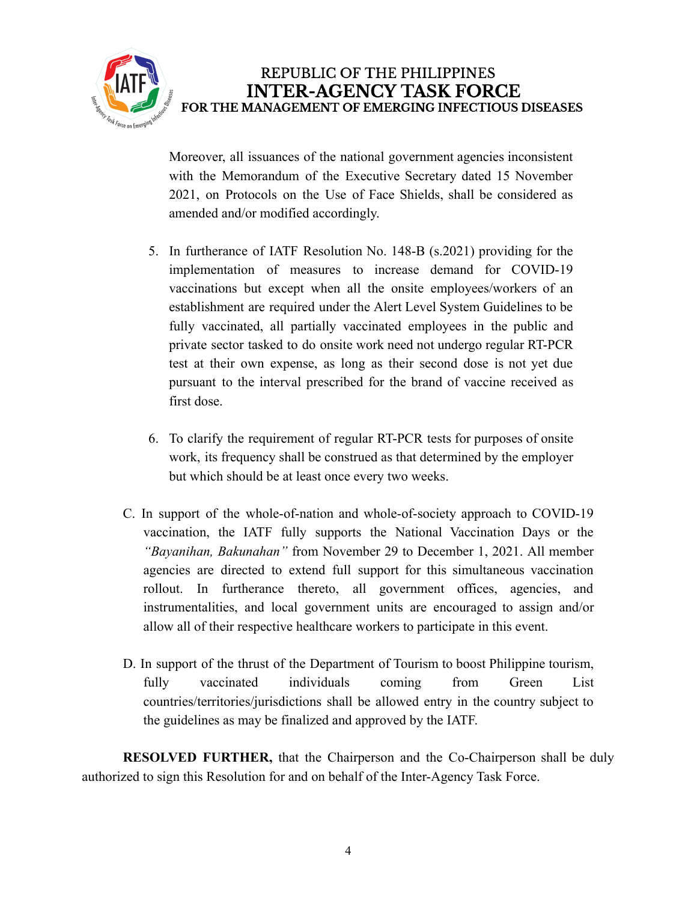

Moreover, all issuances of the national government agencies inconsistent with the Memorandum of the Executive Secretary dated 15 November 2021, on Protocols on the Use of Face Shields, shall be considered as amended and/or modified accordingly.

- 5. In furtherance of IATF Resolution No. 148-B (s.2021) providing for the implementation of measures to increase demand for COVID-19 vaccinations but except when all the onsite employees/workers of an establishment are required under the Alert Level System Guidelines to be fully vaccinated, all partially vaccinated employees in the public and private sector tasked to do onsite work need not undergo regular RT-PCR test at their own expense, as long as their second dose is not yet due pursuant to the interval prescribed for the brand of vaccine received as first dose.
- 6. To clarify the requirement of regular RT-PCR tests for purposes of onsite work, its frequency shall be construed as that determined by the employer but which should be at least once every two weeks.
- C. In support of the whole-of-nation and whole-of-society approach to COVID-19 vaccination, the IATF fully supports the National Vaccination Days or the *"Bayanihan, Bakunahan"* from November 29 to December 1, 2021. All member agencies are directed to extend full support for this simultaneous vaccination rollout. In furtherance thereto, all government offices, agencies, and instrumentalities, and local government units are encouraged to assign and/or allow all of their respective healthcare workers to participate in this event.
- D. In support of the thrust of the Department of Tourism to boost Philippine tourism, fully vaccinated individuals coming from Green List countries/territories/jurisdictions shall be allowed entry in the country subject to the guidelines as may be finalized and approved by the IATF.

**RESOLVED FURTHER,** that the Chairperson and the Co-Chairperson shall be duly authorized to sign this Resolution for and on behalf of the Inter-Agency Task Force.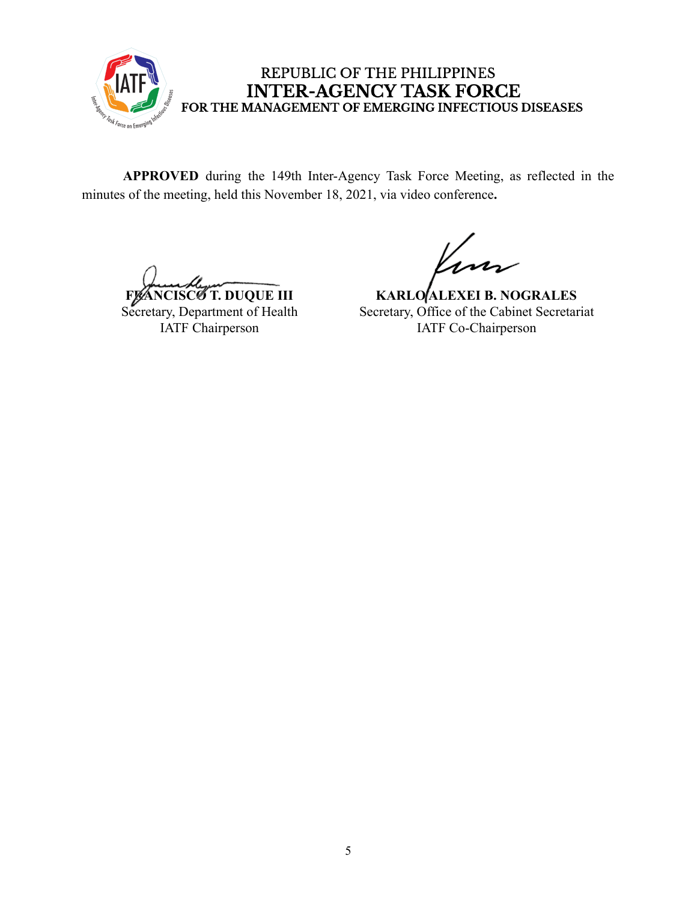

**APPROVED** during the 149th Inter-Agency Task Force Meeting, as reflected in the minutes of the meeting, held this November 18, 2021, via video conference**.**

**FLANCISCO T. DUQUE III** 

Secretary, Department of Health IATF Chairperson

**KARLO ALEXEI B. NOGRALES** Secretary, Office of the Cabinet Secretariat IATF Co-Chairperson